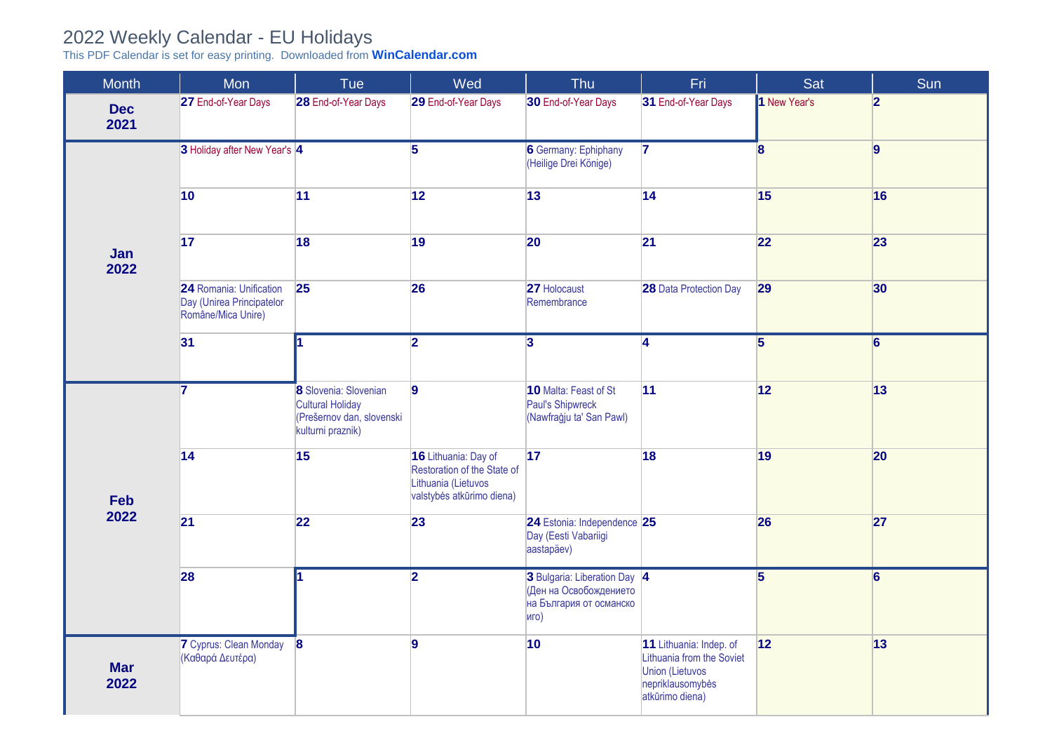## 2022 Weekly Calendar - EU Holidays

This PDF Calendar is set for easy printing. Downloaded from **[WinCalendar.com](https://www.wincalendar.com/2022-Calendar-with-EU-Holidays)**

| <b>Month</b>       | Mon                                                                        | Tue                                                                                                | Wed                                                                                                     | Thu                                                                                       | Fri                                                                                                                   | Sat                     | Sum            |
|--------------------|----------------------------------------------------------------------------|----------------------------------------------------------------------------------------------------|---------------------------------------------------------------------------------------------------------|-------------------------------------------------------------------------------------------|-----------------------------------------------------------------------------------------------------------------------|-------------------------|----------------|
| <b>Dec</b><br>2021 | 27 End-of-Year Days                                                        | 28 End-of-Year Days                                                                                | 29 End-of-Year Days                                                                                     | 30 End-of-Year Days                                                                       | 31 End-of-Year Days                                                                                                   | 1 New Year's            | 2              |
|                    | 3 Holiday after New Year's 4                                               |                                                                                                    | $\overline{5}$                                                                                          | <b>6</b> Germany: Ephiphany<br>(Heilige Drei Könige)                                      | $\overline{7}$                                                                                                        | $\overline{\mathbf{8}}$ | 9              |
|                    | $ 10\rangle$                                                               | 11                                                                                                 | 12                                                                                                      | 13                                                                                        | 14                                                                                                                    | 15                      | 16             |
| Jan<br>2022        | 17                                                                         | 18                                                                                                 | 19                                                                                                      | 20                                                                                        | 21                                                                                                                    | 22                      | 23             |
|                    | 24 Romania: Unification<br>Day (Unirea Principatelor<br>Române/Mica Unire) | 25                                                                                                 | 26                                                                                                      | 27 Holocaust<br>Remembrance                                                               | <b>28 Data Protection Day</b>                                                                                         | 29                      | 30             |
|                    | 31                                                                         | 1                                                                                                  | $\overline{2}$                                                                                          | $\overline{3}$                                                                            | $\overline{4}$                                                                                                        | $\overline{5}$          | $\overline{6}$ |
|                    | $\overline{7}$                                                             | 8 Slovenia: Slovenian<br><b>Cultural Holiday</b><br>(Prešernov dan, slovenski<br>kulturni praznik) | $\vert$ 9                                                                                               | 10 Malta: Feast of St<br>Paul's Shipwreck<br>(Nawfraġju ta' San Pawl)                     | 11                                                                                                                    | 12                      | 13             |
| <b>Feb</b>         | $\overline{14}$                                                            | 15                                                                                                 | 16 Lithuania: Day of<br>Restoration of the State of<br>Lithuania (Lietuvos<br>valstybės atkūrimo diena) | 17                                                                                        | 18                                                                                                                    | 19                      | 20             |
| 2022               | 21                                                                         | 22                                                                                                 | 23                                                                                                      | 24 Estonia: Independence 25<br>Day (Eesti Vabariigi<br>aastapäev)                         |                                                                                                                       | 26                      | 27             |
|                    | 28                                                                         |                                                                                                    | $\overline{2}$                                                                                          | 3 Bulgaria: Liberation Day 4<br>(Ден на Освобождението<br>на България от османско<br>иго) |                                                                                                                       | $\overline{5}$          | $\overline{6}$ |
| <b>Mar</b><br>2022 | <b>7</b> Cyprus: Clean Monday<br>(Καθαρά Δευτέρα)                          | $\mathbf{8}$                                                                                       | $\overline{9}$                                                                                          | 10                                                                                        | 11 Lithuania: Indep. of<br>Lithuania from the Soviet<br><b>Union (Lietuvos</b><br>nepriklausomybės<br>atkūrimo diena) | 12                      | 13             |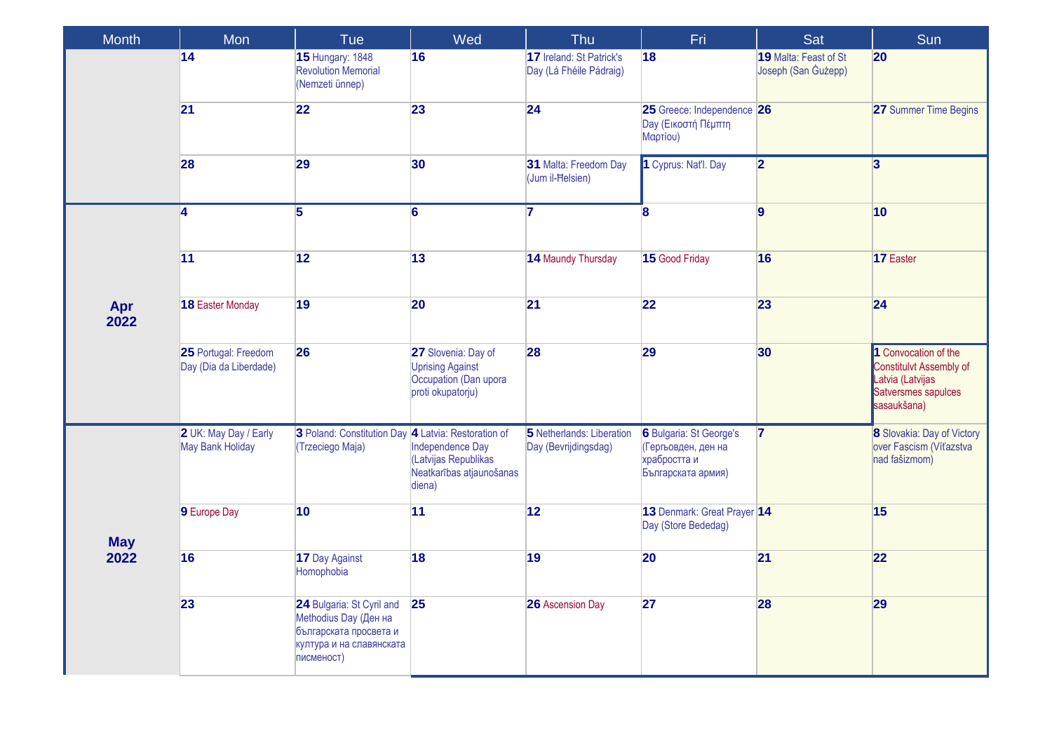| <b>Month</b> | <b>Mon</b>                                       | Tue                                                                                                                    | Wed                                                                                          | Thu                                                 | Fri                                                                                  | Sat                                          | Sun                                                                                                       |
|--------------|--------------------------------------------------|------------------------------------------------------------------------------------------------------------------------|----------------------------------------------------------------------------------------------|-----------------------------------------------------|--------------------------------------------------------------------------------------|----------------------------------------------|-----------------------------------------------------------------------------------------------------------|
|              | 14                                               | <b>15 Hungary: 1848</b><br><b>Revolution Memorial</b><br>(Nemzeti ünnep)                                               | 16                                                                                           | 17 Ireland: St Patrick's<br>Day (Lá Fhéile Pádraig) | 18                                                                                   | 19 Malta: Feast of St<br>Joseph (San Gużepp) | 20                                                                                                        |
|              | 21                                               | 22                                                                                                                     | 23                                                                                           | 24                                                  | 25 Greece: Independence 26<br><b>Day (Εικοστή Πέμπτη</b><br>Μαρτίου)                 |                                              | 27 Summer Time Begins                                                                                     |
|              | 28                                               | 29                                                                                                                     | 30                                                                                           | 31 Malta: Freedom Day<br>(Jum il-Helsien)           | 1 Cyprus: Nat'l. Day                                                                 | $\overline{2}$                               | $\overline{3}$                                                                                            |
|              | $\overline{4}$                                   | $\overline{5}$                                                                                                         | $\overline{6}$                                                                               | $\overline{7}$                                      | 8                                                                                    | $\overline{9}$                               | $ 10\rangle$                                                                                              |
|              | 11                                               | 12                                                                                                                     | 13                                                                                           | 14 Maundy Thursday                                  | 15 Good Friday                                                                       | 16                                           | 17 Easter                                                                                                 |
| Apr<br>2022  | 18 Easter Monday                                 | 19                                                                                                                     | 20                                                                                           | 21                                                  | 22                                                                                   | 23                                           | 24                                                                                                        |
|              | 25 Portugal: Freedom<br>Day (Dia da Liberdade)   | 26                                                                                                                     | 27 Slovenia: Day of<br><b>Uprising Against</b><br>Occupation (Dan upora<br>proti okupatorju) | 28                                                  | 29                                                                                   | 30                                           | 1 Convocation of the<br>Constitulvt Assembly of<br>Latvia (Latvijas<br>Satversmes sapulces<br>sasaukšana) |
|              | 2 UK: May Day / Early<br><b>May Bank Holiday</b> | 3 Poland: Constitution Day 4 Latvia: Restoration of<br>(Trzeciego Maja)                                                | Independence Day<br>(Latvijas Republikas<br>Neatkarības atjaunošanas<br>diena)               | 5 Netherlands: Liberation<br>Day (Bevrijdingsdag)   | 6 Bulgaria: St George's<br>(Гергьовден, ден на<br>храбростта и<br>Българската армия) | $\mathbf{z}$                                 | 8 Slovakia: Day of Victory<br>over Fascism (Víťazstva<br>nad fašizmom)                                    |
| <b>May</b>   | 9 Europe Day                                     | 10                                                                                                                     | 11                                                                                           | 12                                                  | 13 Denmark: Great Prayer 14<br>Day (Store Bededag)                                   |                                              | 15                                                                                                        |
| 2022         | 16                                               | 17 Day Against<br>Homophobia                                                                                           | 18                                                                                           | 19                                                  | 20                                                                                   | 21                                           | 22                                                                                                        |
|              | 23                                               | 24 Bulgaria: St Cyril and<br>Methodius Day (Ден на<br>българската просвета и<br>култура и на славянската<br>писменост) | <b>25</b>                                                                                    | 26 Ascension Day                                    | 27                                                                                   | 28                                           | 29                                                                                                        |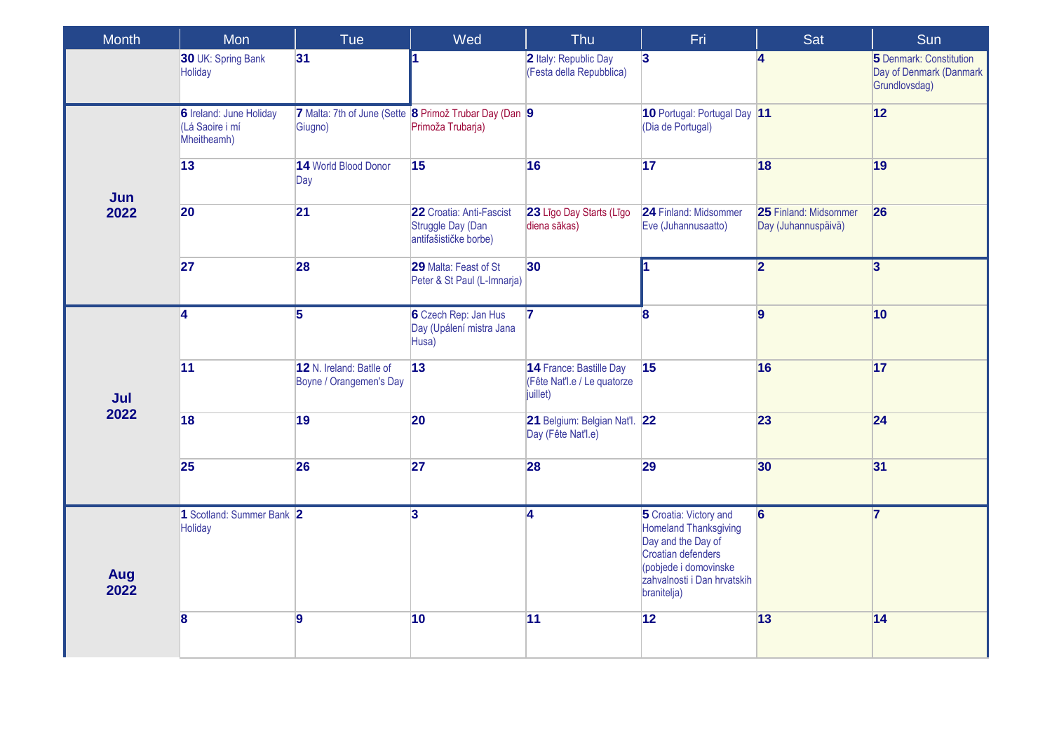| <b>Month</b> | Mon                                                              | Tue                                                 | Wed                                                                         | Thu                                                                | Fri.                                                                                                                                                                      | Sat                                          | Sun                                                                 |
|--------------|------------------------------------------------------------------|-----------------------------------------------------|-----------------------------------------------------------------------------|--------------------------------------------------------------------|---------------------------------------------------------------------------------------------------------------------------------------------------------------------------|----------------------------------------------|---------------------------------------------------------------------|
|              | 30 UK: Spring Bank<br>Holiday                                    | 31                                                  |                                                                             | 2 Italy: Republic Day<br>(Festa della Repubblica)                  | $\overline{\mathbf{3}}$                                                                                                                                                   | $\overline{\mathbf{A}}$                      | 5 Denmark: Constitution<br>Day of Denmark (Danmark<br>Grundlovsdag) |
|              | <b>6</b> Ireland: June Holiday<br>(Lá Saoire i mí<br>Mheitheamh) | Giugno)                                             | 7 Malta: 7th of June (Sette 8 Primož Trubar Day (Dan 9<br>Primoža Trubarja) |                                                                    | 10 Portugal: Portugal Day 11<br>(Dia de Portugal)                                                                                                                         |                                              | 12                                                                  |
| Jun          | 13                                                               | 14 World Blood Donor<br>Day                         | 15                                                                          | 16                                                                 | 17                                                                                                                                                                        | 18                                           | 19                                                                  |
| 2022         | 20                                                               | 21                                                  | 22 Croatia: Anti-Fascist<br>Struggle Day (Dan<br>antifašističke borbe)      | 23 Līgo Day Starts (Līgo<br>diena sākas)                           | 24 Finland: Midsommer<br>Eve (Juhannusaatto)                                                                                                                              | 25 Finland: Midsommer<br>Day (Juhannuspäivä) | 26                                                                  |
|              | 27                                                               | 28                                                  | 29 Malta: Feast of St<br>Peter & St Paul (L-Imnarja)                        | 30 <sup>°</sup>                                                    |                                                                                                                                                                           | $\overline{\mathbf{2}}$                      | $\overline{3}$                                                      |
|              | 4                                                                | $\overline{\mathbf{5}}$                             | 6 Czech Rep: Jan Hus<br>Day (Upálení mistra Jana<br>Husa)                   | $\overline{7}$                                                     | 8                                                                                                                                                                         | $\overline{9}$                               | $ 10\rangle$                                                        |
| Jul          | 11                                                               | 12 N. Ireland: Batlle of<br>Boyne / Orangemen's Day | 13                                                                          | 14 France: Bastille Day<br>(Fête Nat'l.e / Le quatorze<br>juillet) | 15                                                                                                                                                                        | 16                                           | 17                                                                  |
| 2022         | 18                                                               | 19                                                  | 20                                                                          | 21 Belgium: Belgian Nat'l. 22<br>Day (Fête Nat'l.e)                |                                                                                                                                                                           | 23                                           | 24                                                                  |
|              | 25                                                               | 26                                                  | 27                                                                          | 28                                                                 | 29                                                                                                                                                                        | 30                                           | 31                                                                  |
| Aug<br>2022  | 1 Scotland: Summer Bank 2<br>Holiday                             |                                                     | $\overline{\mathbf{3}}$                                                     | $\overline{4}$                                                     | 5 Croatia: Victory and<br><b>Homeland Thanksgiving</b><br>Day and the Day of<br>Croatian defenders<br>(pobjede i domovinske<br>zahvalnosti i Dan hrvatskih<br>branitelja) | 6                                            | $\overline{7}$                                                      |
|              | 8                                                                | 9                                                   | 10                                                                          | 11                                                                 | 12                                                                                                                                                                        | 13                                           | 14                                                                  |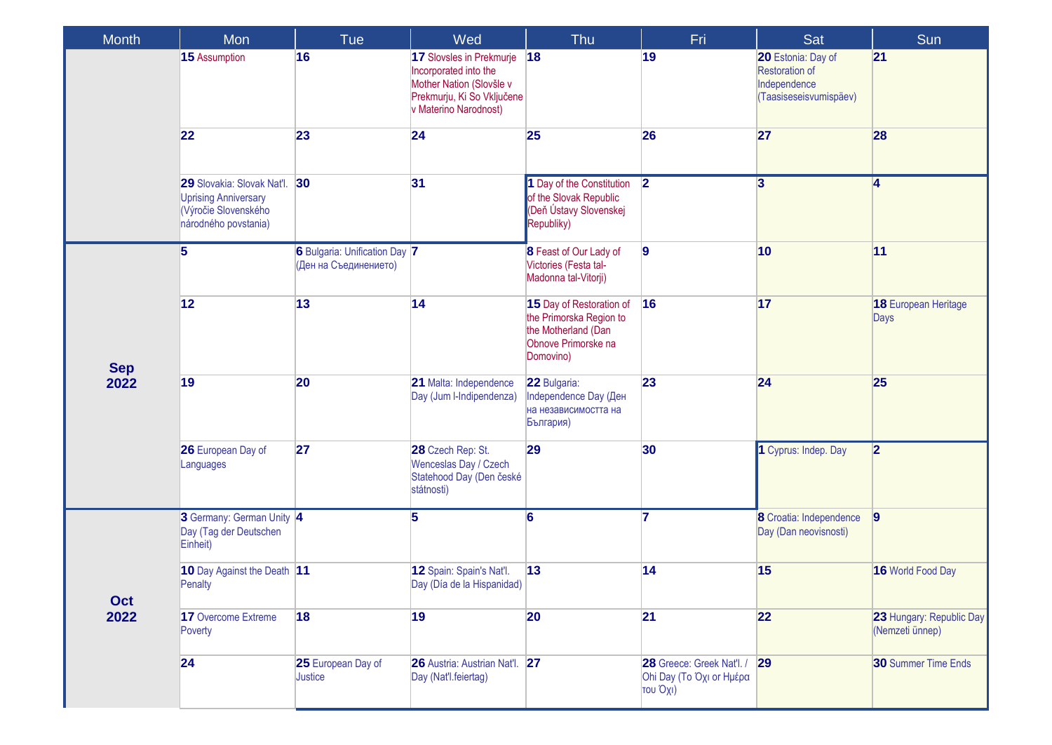| <b>Month</b> | Mon                                                                                                       | Tue                                                    | Wed                                                                                                                                  | Thu                                                                                                            | Fri                                                                  | Sat                                                                                   | Sun                                                |
|--------------|-----------------------------------------------------------------------------------------------------------|--------------------------------------------------------|--------------------------------------------------------------------------------------------------------------------------------------|----------------------------------------------------------------------------------------------------------------|----------------------------------------------------------------------|---------------------------------------------------------------------------------------|----------------------------------------------------|
|              | 15 Assumption                                                                                             | 16                                                     | 17 Slovsles in Prekmurje<br>Incorporated into the<br>Mother Nation (Slovšle v<br>Prekmurju, Ki So Vključene<br>v Materino Narodnost) | 18                                                                                                             | 19                                                                   | 20 Estonia: Day of<br><b>Restoration of</b><br>Independence<br>(Taasiseseisvumispäev) | 21                                                 |
|              | 22                                                                                                        | 23                                                     | 24                                                                                                                                   | 25                                                                                                             | 26                                                                   | 27                                                                                    | 28                                                 |
|              | 29 Slovakia: Slovak Nat'l.<br><b>Uprising Anniversary</b><br>(Výročie Slovenského<br>národného povstania) | 30                                                     | 31                                                                                                                                   | 1 Day of the Constitution<br>of the Slovak Republic<br>(Deň Ústavy Slovenskej<br>Republiky)                    | $\overline{2}$                                                       | $\overline{3}$                                                                        | $\overline{\mathbf{4}}$                            |
|              | 5                                                                                                         | 6 Bulgaria: Unification Day 7<br>(Ден на Съединението) |                                                                                                                                      | 8 Feast of Our Lady of<br>Victories (Festa tal-<br>Madonna tal-Vitorji)                                        | 9                                                                    | 10                                                                                    | 11                                                 |
| <b>Sep</b>   | 12                                                                                                        | 13                                                     | 14                                                                                                                                   | 15 Day of Restoration of<br>the Primorska Region to<br>the Motherland (Dan<br>Obnove Primorske na<br>Domovino) | 16                                                                   | 17                                                                                    | 18 European Heritage<br>Days                       |
| 2022         | 19                                                                                                        | 20                                                     | 21 Malta: Independence<br>Day (Jum I-Indipendenza)                                                                                   | 22 Bulgaria:<br>Independence Day (Ден<br>на независимостта на<br>България)                                     | 23                                                                   | 24                                                                                    | 25                                                 |
|              | 26 European Day of<br>Languages                                                                           | 27                                                     | 28 Czech Rep: St.<br>Wenceslas Day / Czech<br>Statehood Day (Den české<br>státnosti)                                                 | 29                                                                                                             | 30                                                                   | 1 Cyprus: Indep. Day                                                                  | 2                                                  |
|              | 3 Germany: German Unity 4<br>Day (Tag der Deutschen<br>Einheit)                                           |                                                        | 5                                                                                                                                    | 6                                                                                                              |                                                                      | 8 Croatia: Independence<br>Day (Dan neovisnosti)                                      | 9                                                  |
| Oct          | 10 Day Against the Death 11<br>Penalty                                                                    |                                                        | 12 Spain: Spain's Nat'l.<br>Day (Día de la Hispanidad)                                                                               | 13                                                                                                             | 14                                                                   | 15                                                                                    | 16 World Food Day                                  |
| 2022         | 17 Overcome Extreme<br>Poverty                                                                            | 18                                                     | 19                                                                                                                                   | 20                                                                                                             | 21                                                                   | 22                                                                                    | <b>23 Hungary: Republic Day</b><br>(Nemzeti ünnep) |
|              | 24                                                                                                        | 25 European Day of<br>Justice                          | 26 Austria: Austrian Nat'l. 27<br>Day (Nat'l.feiertag)                                                                               |                                                                                                                | 28 Greece: Greek Nat'l. / 29<br>Ohi Day (Το Όχι or Ημέρα<br>του Όχι) |                                                                                       | <b>30 Summer Time Ends</b>                         |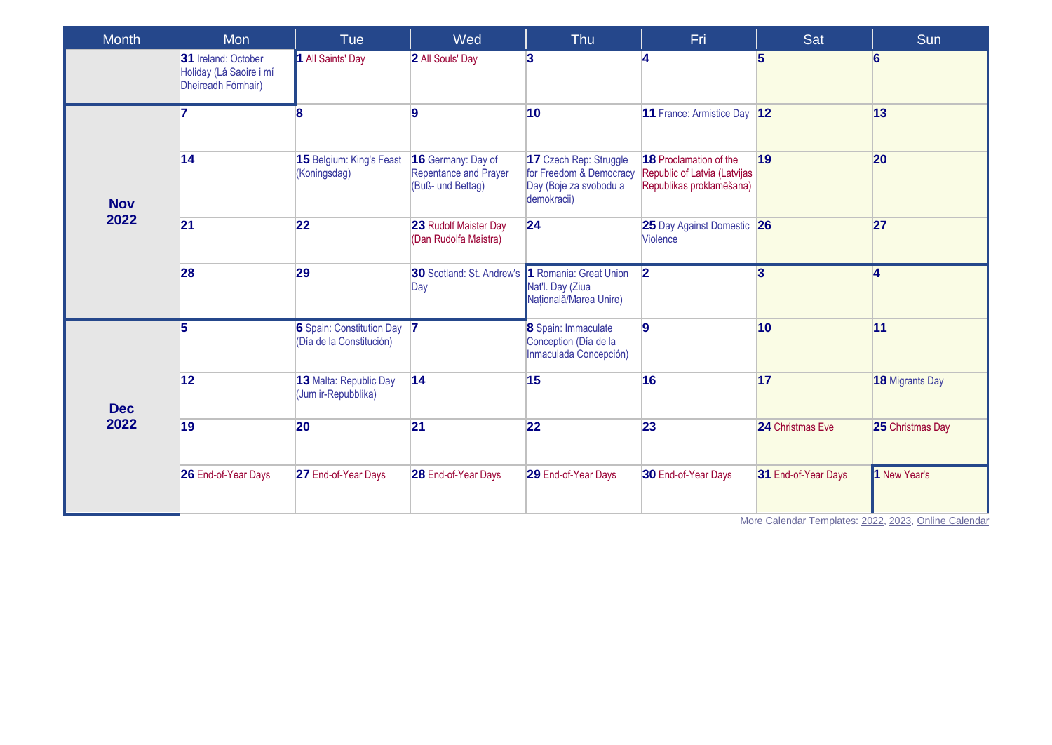| Month      | Mon                                                                  | <b>Tue</b>                                              | Wed                                                              | <b>Thu</b>                                                                                 | Fri.                                                                                      | Sat                 | Sun                    |
|------------|----------------------------------------------------------------------|---------------------------------------------------------|------------------------------------------------------------------|--------------------------------------------------------------------------------------------|-------------------------------------------------------------------------------------------|---------------------|------------------------|
|            | 31 Ireland: October<br>Holiday (Lá Saoire i mí<br>Dheireadh Fómhair) | 1 All Saints' Day                                       | 2 All Souls' Day                                                 | $\vert$ 3                                                                                  |                                                                                           | $5^{\circ}$         | <b>6</b>               |
|            | 7                                                                    | Я                                                       | 9                                                                | 10                                                                                         | 11 France: Armistice Day 12                                                               |                     | 13                     |
| <b>Nov</b> | 14                                                                   | 15 Belgium: King's Feast<br>(Koningsdag)                | 16 Germany: Day of<br>Repentance and Prayer<br>(Buß- und Bettag) | 17 Czech Rep: Struggle<br>for Freedom & Democracy<br>Day (Boje za svobodu a<br>demokracii) | <b>18</b> Proclamation of the<br>Republic of Latvia (Latvijas<br>Republikas proklamēšana) | 19                  | 20                     |
| 2022       | 21                                                                   | 22                                                      | 23 Rudolf Maister Day<br>(Dan Rudolfa Maistra)                   | 24                                                                                         | 25 Day Against Domestic 26<br><b>Violence</b>                                             |                     | 27                     |
|            | 28                                                                   | 29                                                      | 30 Scotland: St. Andrew's 1 Romania: Great Union<br>Day          | Nat'l. Day (Ziua<br>Națională/Marea Unire)                                                 | $\overline{2}$                                                                            | $\overline{3}$      | $\vert$ 4              |
|            | 5                                                                    | 6 Spain: Constitution Day 7<br>(Día de la Constitución) |                                                                  | 8 Spain: Immaculate<br>Conception (Día de la<br>Inmaculada Concepción)                     | 9                                                                                         | 10                  | 11                     |
| <b>Dec</b> | 12                                                                   | 13 Malta: Republic Day<br>(Jum ir-Repubblika)           | 14                                                               | 15                                                                                         | 16                                                                                        | 17                  | <b>18 Migrants Day</b> |
| 2022       | 19                                                                   | 20                                                      | 21                                                               | 22                                                                                         | 23                                                                                        | 24 Christmas Eve    | 25 Christmas Day       |
|            | 26 End-of-Year Days                                                  | 27 End-of-Year Days                                     | 28 End-of-Year Days                                              | 29 End-of-Year Days                                                                        | 30 End-of-Year Days                                                                       | 31 End-of-Year Days | 1 New Year's           |

More Calendar Templates: [2022,](https://www.wincalendar.com/2022-Calendar-with-EU-Holidays) [2023,](https://www.wincalendar.com/2023-Calendar-with-EU-Holidays) [Online Calendar](https://www.wincalendar.com/EU-Calendar/2022)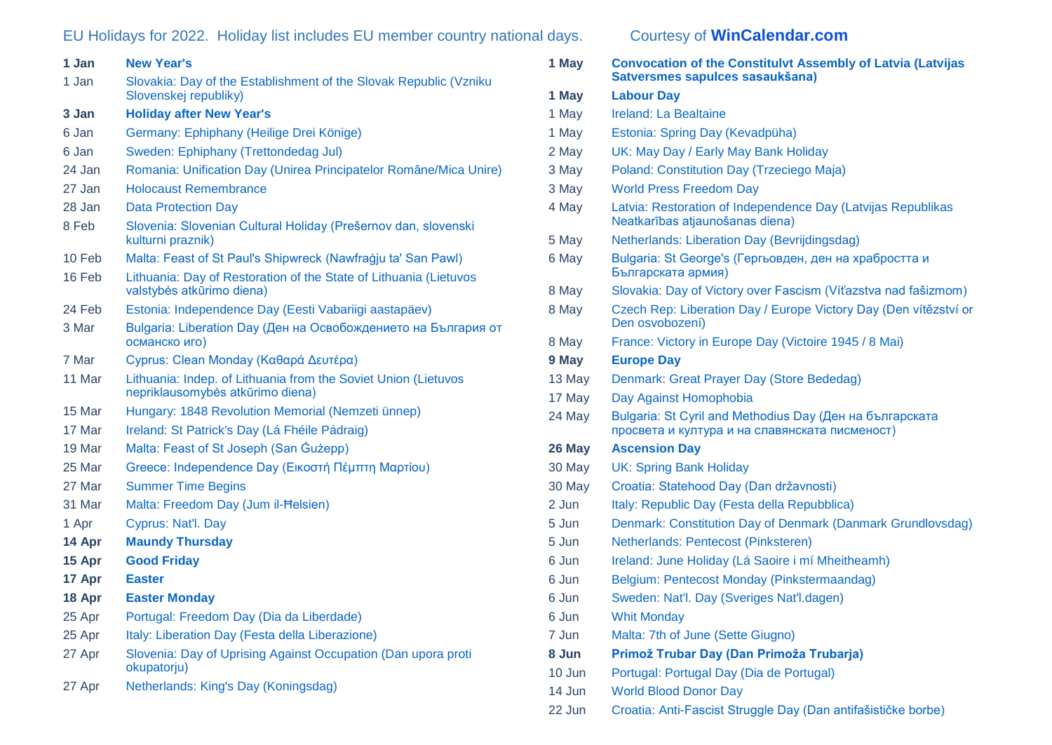## EU Holidays for 2022. Holiday list includes EU member country national days. Courtesy of **[WinCalendar.com](https://www.wincalendar.com/2022-Calendar-with-EU-Holidays)**

| 1 Jan  | <b>New Year's</b>                                                                                  |
|--------|----------------------------------------------------------------------------------------------------|
| 1 Jan  | Slovakia: Day of the Establishment of the Slovak Republic (Vzniku<br>Slovenskej republiky)         |
| 3 Jan  | <b>Holiday after New Year's</b>                                                                    |
| 6 Jan  | Germany: Ephiphany (Heilige Drei Könige)                                                           |
| 6 Jan  | Sweden: Ephiphany (Trettondedag Jul)                                                               |
| 24 Jan | Romania: Unification Day (Unirea Principatelor Române/Mica Unire)                                  |
| 27 Jan | <b>Holocaust Remembrance</b>                                                                       |
| 28 Jan | <b>Data Protection Day</b>                                                                         |
| 8 Feb  | Slovenia: Slovenian Cultural Holiday (Prešernov dan, slovenski<br>kulturni praznik)                |
| 10 Feb | Malta: Feast of St Paul's Shipwreck (Nawfragju ta' San Pawl)                                       |
| 16 Feb | Lithuania: Day of Restoration of the State of Lithuania (Lietuvos<br>valstybės atkūrimo diena)     |
| 24 Feb | Estonia: Independence Day (Eesti Vabariigi aastapäev)                                              |
| 3 Mar  | Bulgaria: Liberation Day (Ден на Освобождението на България от<br>османско иго)                    |
| 7 Mar  | Cyprus: Clean Monday (Καθαρά Δευτέρα)                                                              |
| 11 Mar | Lithuania: Indep. of Lithuania from the Soviet Union (Lietuvos<br>nepriklausomybės atkūrimo diena) |
| 15 Mar | Hungary: 1848 Revolution Memorial (Nemzeti ünnep)                                                  |
| 17 Mar | Ireland: St Patrick's Day (Lá Fhéile Pádraig)                                                      |
| 19 Mar | Malta: Feast of St Joseph (San Gużepp)                                                             |
| 25 Mar | Greece: Independence Day (Εικοστή Πέμπτη Μαρτίου)                                                  |
| 27 Mar | <b>Summer Time Begins</b>                                                                          |
| 31 Mar | Malta: Freedom Day (Jum il-Helsien)                                                                |
| 1 Apr  | Cyprus: Nat'l. Day                                                                                 |
| 14 Apr | <b>Maundy Thursday</b>                                                                             |
| 15 Apr | <b>Good Friday</b>                                                                                 |
| 17 Apr | <b>Easter</b>                                                                                      |
| 18 Apr | <b>Easter Monday</b>                                                                               |
| 25 Apr | Portugal: Freedom Day (Dia da Liberdade)                                                           |
| 25 Apr | Italy: Liberation Day (Festa della Liberazione)                                                    |
| 27 Apr | Slovenia: Day of Uprising Against Occupation (Dan upora proti<br>okupatorju)                       |
| 27 Apr | Netherlands: King's Day (Koningsdag)                                                               |

| 1 May  | <b>Convocation of the Constitulvt Assembly of Latvia (Latvijas</b><br>Satversmes sapulces sasaukšana)      |
|--------|------------------------------------------------------------------------------------------------------------|
| 1 May  | <b>Labour Day</b>                                                                                          |
| 1 May  | Ireland: La Bealtaine                                                                                      |
| 1 May  | Estonia: Spring Day (Kevadpüha)                                                                            |
| 2 May  | UK: May Day / Early May Bank Holiday                                                                       |
| 3 May  | Poland: Constitution Day (Trzeciego Maja)                                                                  |
| 3 May  | <b>World Press Freedom Day</b>                                                                             |
| 4 May  | Latvia: Restoration of Independence Day (Latvijas Republikas<br>Neatkarības atjaunošanas diena)            |
| 5 May  | Netherlands: Liberation Day (Bevrijdingsdag)                                                               |
| 6 May  | Bulgaria: St George's (Гергьовден, ден на храбростта и<br>Българската армия)                               |
| 8 May  | Slovakia: Day of Victory over Fascism (Víťazstva nad fašizmom)                                             |
| 8 May  | Czech Rep: Liberation Day / Europe Victory Day (Den vítězství or<br>Den osvobození)                        |
| 8 May  | France: Victory in Europe Day (Victoire 1945 / 8 Mai)                                                      |
| 9 May  | <b>Europe Day</b>                                                                                          |
| 13 May | Denmark: Great Prayer Day (Store Bededag)                                                                  |
| 17 May | Day Against Homophobia                                                                                     |
| 24 May | Bulgaria: St Cyril and Methodius Day (Ден на българската<br>просвета и култура и на славянската писменост) |
| 26 May | <b>Ascension Day</b>                                                                                       |
| 30 May | <b>UK: Spring Bank Holiday</b>                                                                             |
| 30 May | Croatia: Statehood Day (Dan državnosti)                                                                    |
| 2 Jun  | Italy: Republic Day (Festa della Repubblica)                                                               |
| 5 Jun  | Denmark: Constitution Day of Denmark (Danmark Grundlovsdag)                                                |
| 5 Jun  | Netherlands: Pentecost (Pinksteren)                                                                        |
| 6 Jun  | Ireland: June Holiday (Lá Saoire i mí Mheitheamh)                                                          |
| 6 Jun  | Belgium: Pentecost Monday (Pinkstermaandag)                                                                |
| 6 Jun  | Sweden: Nat'l. Day (Sveriges Nat'l.dagen)                                                                  |
| 6 Jun  | <b>Whit Monday</b>                                                                                         |
| 7 Jun  | Malta: 7th of June (Sette Giugno)                                                                          |
| 8 Jun  | Primož Trubar Day (Dan Primoža Trubarja)                                                                   |
| 10 Jun | Portugal: Portugal Day (Dia de Portugal)                                                                   |
| 14 Jun | <b>World Blood Donor Day</b>                                                                               |
| 22 Jun | Croatia: Anti-Fascist Struggle Day (Dan antifašističke borbe)                                              |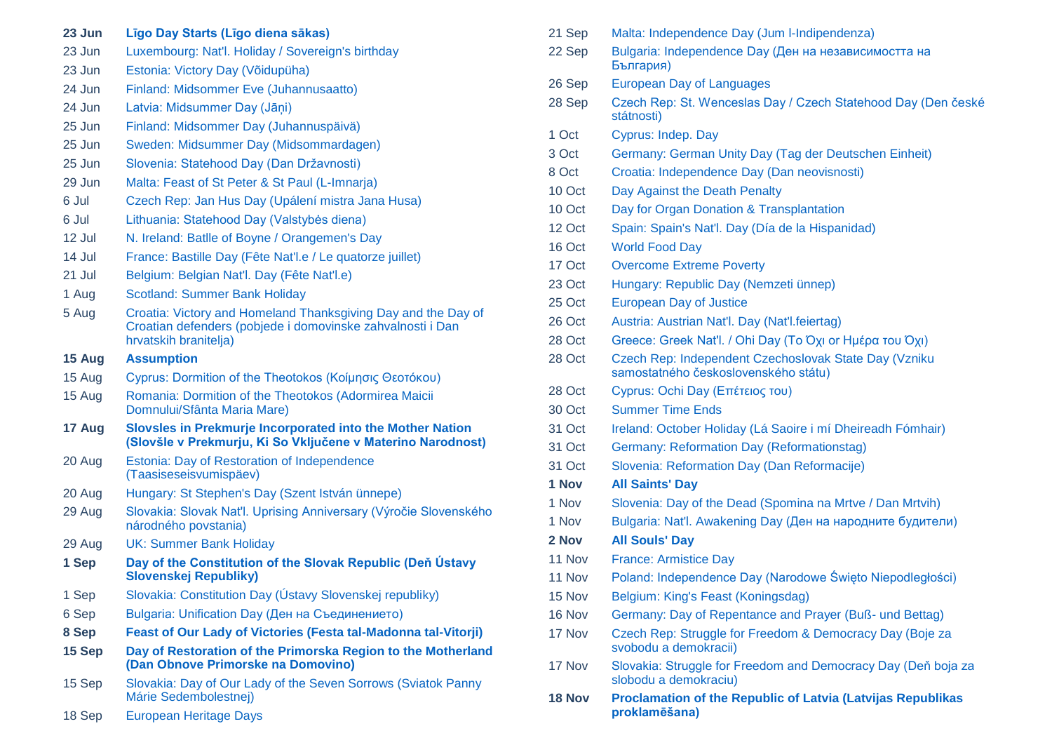| 23 Jun | Līgo Day Starts (Līgo diena sākas)                                                                                                                   |
|--------|------------------------------------------------------------------------------------------------------------------------------------------------------|
| 23 Jun | Luxembourg: Nat'l. Holiday / Sovereign's birthday                                                                                                    |
| 23 Jun | Estonia: Victory Day (Võidupüha)                                                                                                                     |
| 24 Jun | Finland: Midsommer Eve (Juhannusaatto)                                                                                                               |
| 24 Jun | Latvia: Midsummer Day (Jāṇi)                                                                                                                         |
| 25 Jun | Finland: Midsommer Day (Juhannuspäivä)                                                                                                               |
| 25 Jun | Sweden: Midsummer Day (Midsommardagen)                                                                                                               |
| 25 Jun | Slovenia: Statehood Day (Dan Državnosti)                                                                                                             |
| 29 Jun | Malta: Feast of St Peter & St Paul (L-Imnarja)                                                                                                       |
| 6 Jul  | Czech Rep: Jan Hus Day (Upálení mistra Jana Husa)                                                                                                    |
| 6 Jul  | Lithuania: Statehood Day (Valstybės diena)                                                                                                           |
| 12 Jul | N. Ireland: Batlle of Boyne / Orangemen's Day                                                                                                        |
| 14 Jul | France: Bastille Day (Fête Nat'l.e / Le quatorze juillet)                                                                                            |
| 21 Jul | Belgium: Belgian Nat'l. Day (Fête Nat'l.e)                                                                                                           |
| 1 Aug  | <b>Scotland: Summer Bank Holiday</b>                                                                                                                 |
| 5 Aug  | Croatia: Victory and Homeland Thanksgiving Day and the Day of<br>Croatian defenders (pobjede i domovinske zahvalnosti i Dan<br>hrvatskih branitelja) |
| 15 Aug | <b>Assumption</b>                                                                                                                                    |
| 15 Aug | Cyprus: Dormition of the Theotokos (Κοίμησις Θεοτόκου)                                                                                               |
| 15 Aug | Romania: Dormition of the Theotokos (Adormirea Maicii<br>Domnului/Sfânta Maria Mare)                                                                 |
| 17 Aug | Slovsles in Prekmurje Incorporated into the Mother Nation<br>(Slovšle v Prekmurju, Ki So Vključene v Materino Narodnost)                             |
| 20 Aug | Estonia: Day of Restoration of Independence<br>(Taasiseseisvumispäev)                                                                                |
| 20 Aug | Hungary: St Stephen's Day (Szent István ünnepe)                                                                                                      |
| 29 Aug | Slovakia: Slovak Nat'l. Uprising Anniversary (Výročie Slovenského<br>národného povstania)                                                            |
| 29 Aug | <b>UK: Summer Bank Holiday</b>                                                                                                                       |
| 1 Sep  | Day of the Constitution of the Slovak Republic (Deň Ústavy<br>Slovenskej Republiky)                                                                  |
| 1 Sep  | Slovakia: Constitution Day (Ústavy Slovenskej republiky)                                                                                             |
| 6 Sep  | Bulgaria: Unification Day (Ден на Съединението)                                                                                                      |
| 8 Sep  | Feast of Our Lady of Victories (Festa tal-Madonna tal-Vitorji)                                                                                       |
| 15 Sep | Day of Restoration of the Primorska Region to the Motherland<br>(Dan Obnove Primorske na Domovino)                                                   |
| 15 Sep | Slovakia: Day of Our Lady of the Seven Sorrows (Sviatok Panny<br>Márie Sedembolestnej)                                                               |

18 Sep [European Heritage Days](https://www.wincalendar.com/European-Heritage-Days)

| 21 Sep | Malta: Independence Day (Jum I-Indipendenza)                                                  |
|--------|-----------------------------------------------------------------------------------------------|
| 22 Sep | Bulgaria: Independence Day (Ден на независимостта на<br>България)                             |
| 26 Sep | <b>European Day of Languages</b>                                                              |
| 28 Sep | Czech Rep: St. Wenceslas Day / Czech Statehood Day (Den české<br>státnosti)                   |
| 1 Oct  | Cyprus: Indep. Day                                                                            |
| 3 Oct  | Germany: German Unity Day (Tag der Deutschen Einheit)                                         |
| 8 Oct  | Croatia: Independence Day (Dan neovisnosti)                                                   |
| 10 Oct | Day Against the Death Penalty                                                                 |
| 10 Oct | Day for Organ Donation & Transplantation                                                      |
| 12 Oct | Spain: Spain's Nat'l. Day (Día de la Hispanidad)                                              |
| 16 Oct | <b>World Food Day</b>                                                                         |
| 17 Oct | <b>Overcome Extreme Poverty</b>                                                               |
| 23 Oct | Hungary: Republic Day (Nemzeti ünnep)                                                         |
| 25 Oct | <b>European Day of Justice</b>                                                                |
| 26 Oct | Austria: Austrian Nat'l. Day (Nat'l.feiertag)                                                 |
| 28 Oct | Greece: Greek Nat'l. / Ohi Day (Το Όχι or Ημέρα του Όχι)                                      |
| 28 Oct | Czech Rep: Independent Czechoslovak State Day (Vzniku<br>samostatného československého státu) |
| 28 Oct | Cyprus: Ochi Day (Επέτειος του)                                                               |
| 30 Oct | <b>Summer Time Ends</b>                                                                       |
| 31 Oct | Ireland: October Holiday (Lá Saoire i mí Dheireadh Fómhair)                                   |
| 31 Oct | Germany: Reformation Day (Reformationstag)                                                    |
| 31 Oct | Slovenia: Reformation Day (Dan Reformacije)                                                   |
| 1 Nov  | <b>All Saints' Day</b>                                                                        |
| 1 Nov  | Slovenia: Day of the Dead (Spomina na Mrtve / Dan Mrtvih)                                     |
| 1 Nov  | Bulgaria: Nat'l. Awakening Day (Ден на народните будители)                                    |
| 2 Nov  | <b>All Souls' Day</b>                                                                         |
| 11 Nov | <b>France: Armistice Day</b>                                                                  |
| 11 Nov | Poland: Independence Day (Narodowe Święto Niepodległości)                                     |
| 15 Nov | Belgium: King's Feast (Koningsdag)                                                            |
| 16 Nov | Germany: Day of Repentance and Prayer (Buß- und Bettag)                                       |
| 17 Nov | Czech Rep: Struggle for Freedom & Democracy Day (Boje za<br>svobodu a demokracii)             |
| 17 Nov | Slovakia: Struggle for Freedom and Democracy Day (Deň boja za<br>slobodu a demokraciu)        |
| 18 Nov | <b>Proclamation of the Republic of Latvia (Latvijas Republikas</b>                            |

**[proklamēšana\)](https://www.wincalendar.com/EU-Calendar/November-2022?v=18)**